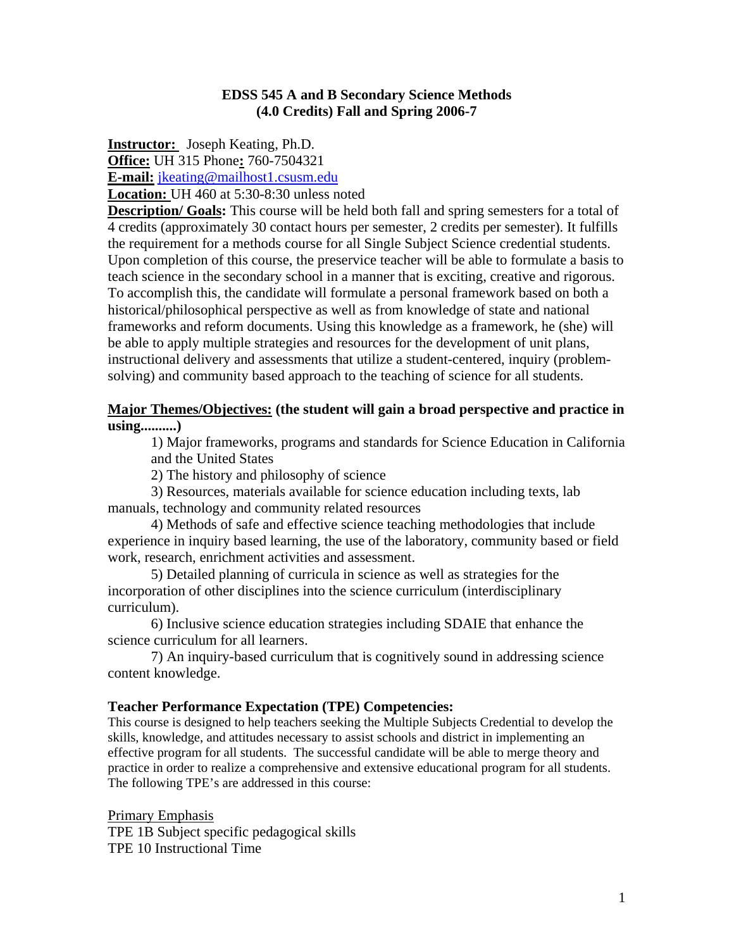### **EDSS 545 A and B Secondary Science Methods (4.0 Credits) Fall and Spring 2006-7**

**Instructor:** Joseph Keating, Ph.D.

**Office:** UH 315 Phone**:** 760-7504321

**E-mail:** jkeating@mailhost1.csusm.edu

**Location:** UH 460 at 5:30-8:30 unless noted

**Description/ Goals:** This course will be held both fall and spring semesters for a total of 4 credits (approximately 30 contact hours per semester, 2 credits per semester). It fulfills the requirement for a methods course for all Single Subject Science credential students. Upon completion of this course, the preservice teacher will be able to formulate a basis to teach science in the secondary school in a manner that is exciting, creative and rigorous. To accomplish this, the candidate will formulate a personal framework based on both a historical/philosophical perspective as well as from knowledge of state and national frameworks and reform documents. Using this knowledge as a framework, he (she) will be able to apply multiple strategies and resources for the development of unit plans, instructional delivery and assessments that utilize a student-centered, inquiry (problemsolving) and community based approach to the teaching of science for all students.

### **Major Themes/Objectives: (the student will gain a broad perspective and practice in using..........)**

1) Major frameworks, programs and standards for Science Education in California and the United States

2) The history and philosophy of science

 3) Resources, materials available for science education including texts, lab manuals, technology and community related resources

 4) Methods of safe and effective science teaching methodologies that include experience in inquiry based learning, the use of the laboratory, community based or field work, research, enrichment activities and assessment.

 5) Detailed planning of curricula in science as well as strategies for the incorporation of other disciplines into the science curriculum (interdisciplinary curriculum).

 6) Inclusive science education strategies including SDAIE that enhance the science curriculum for all learners.

 7) An inquiry-based curriculum that is cognitively sound in addressing science content knowledge.

#### **Teacher Performance Expectation (TPE) Competencies:**

This course is designed to help teachers seeking the Multiple Subjects Credential to develop the skills, knowledge, and attitudes necessary to assist schools and district in implementing an effective program for all students. The successful candidate will be able to merge theory and practice in order to realize a comprehensive and extensive educational program for all students. The following TPE's are addressed in this course:

Primary Emphasis TPE 1B Subject specific pedagogical skills TPE 10 Instructional Time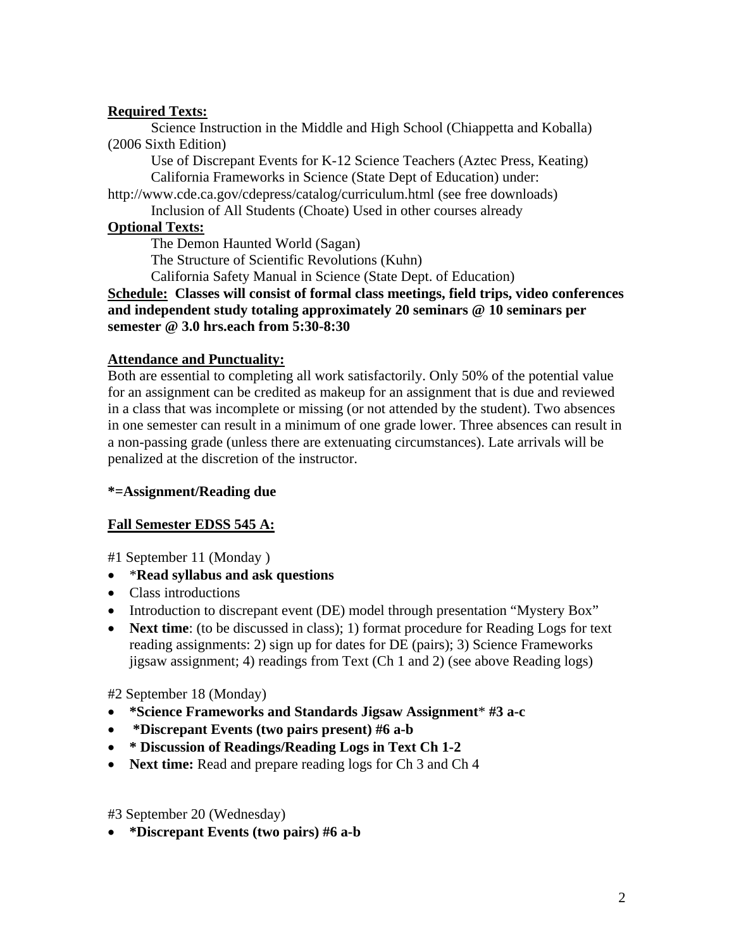## **Required Texts:**

Science Instruction in the Middle and High School (Chiappetta and Koballa) (2006 Sixth Edition)

Use of Discrepant Events for K-12 Science Teachers (Aztec Press, Keating) California Frameworks in Science (State Dept of Education) under:

http://www.cde.ca.gov/cdepress/catalog/curriculum.html (see free downloads)

Inclusion of All Students (Choate) Used in other courses already

## **Optional Texts:**

The Demon Haunted World (Sagan)

The Structure of Scientific Revolutions (Kuhn)

California Safety Manual in Science (State Dept. of Education)

**Schedule: Classes will consist of formal class meetings, field trips, video conferences and independent study totaling approximately 20 seminars @ 10 seminars per semester @ 3.0 hrs.each from 5:30-8:30** 

## **Attendance and Punctuality:**

Both are essential to completing all work satisfactorily. Only 50% of the potential value for an assignment can be credited as makeup for an assignment that is due and reviewed in a class that was incomplete or missing (or not attended by the student). Two absences in one semester can result in a minimum of one grade lower. Three absences can result in a non-passing grade (unless there are extenuating circumstances). Late arrivals will be penalized at the discretion of the instructor.

### **\*=Assignment/Reading due**

## **Fall Semester EDSS 545 A:**

#1 September 11 (Monday )

- \***Read syllabus and ask questions**
- Class introductions
- Introduction to discrepant event (DE) model through presentation "Mystery Box"
- **Next time**: (to be discussed in class); 1) format procedure for Reading Logs for text reading assignments: 2) sign up for dates for DE (pairs); 3) Science Frameworks jigsaw assignment; 4) readings from Text (Ch 1 and 2) (see above Reading logs)

#2 September 18 (Monday)

- **\*Science Frameworks and Standards Jigsaw Assignment**\* **#3 a-c**
- • **\*Discrepant Events (two pairs present) #6 a-b**
- **\* Discussion of Readings/Reading Logs in Text Ch 1-2**
- **Next time:** Read and prepare reading logs for Ch 3 and Ch 4

#3 September 20 (Wednesday)

• **\*Discrepant Events (two pairs) #6 a-b**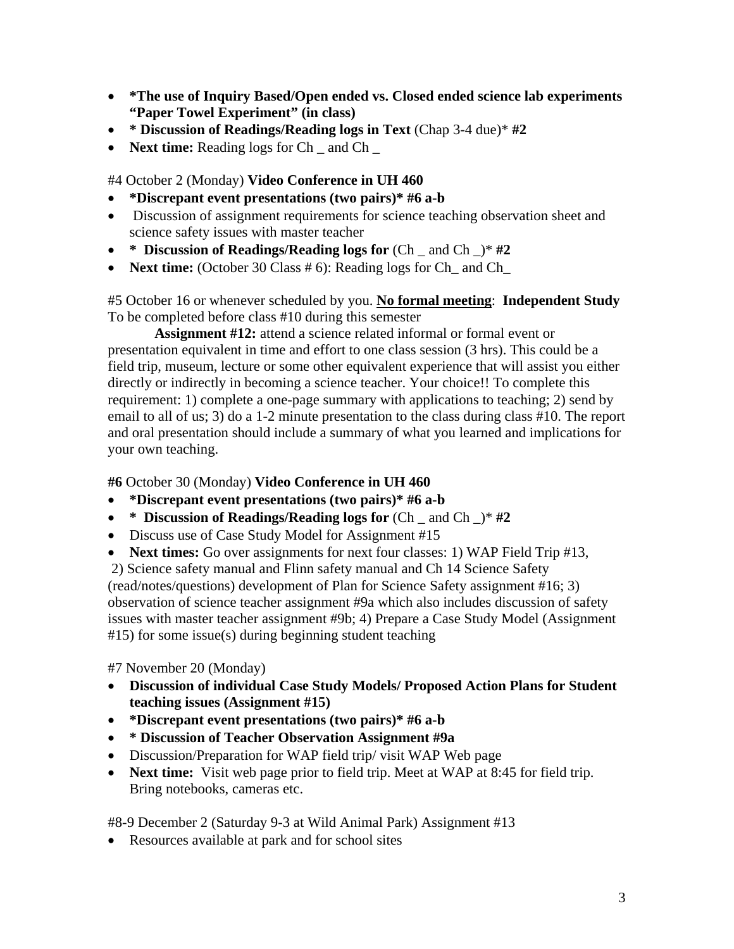- **\*The use of Inquiry Based/Open ended vs. Closed ended science lab experiments "Paper Towel Experiment" (in class)**
- **\* Discussion of Readings/Reading logs in Text** (Chap 3-4 due)\* **#2**
- **Next time:** Reading logs for Ch and Ch

#4 October 2 (Monday) **Video Conference in UH 460** 

- **\*Discrepant event presentations (two pairs)\* #6 a-b**
- Discussion of assignment requirements for science teaching observation sheet and science safety issues with master teacher
- **\* Discussion of Readings/Reading logs for** (Ch \_ and Ch \_)\* **#2**
- **Next time:** (October 30 Class # 6): Reading logs for Ch\_ and Ch\_

#5 October 16 or whenever scheduled by you. **No formal meeting**: **Independent Study**  To be completed before class #10 during this semester

 **Assignment #12:** attend a science related informal or formal event or presentation equivalent in time and effort to one class session (3 hrs). This could be a field trip, museum, lecture or some other equivalent experience that will assist you either directly or indirectly in becoming a science teacher. Your choice!! To complete this requirement: 1) complete a one-page summary with applications to teaching; 2) send by email to all of us; 3) do a 1-2 minute presentation to the class during class #10. The report and oral presentation should include a summary of what you learned and implications for your own teaching.

**#6** October 30 (Monday) **Video Conference in UH 460** 

- **\*Discrepant event presentations (two pairs)\* #6 a-b**
- **\* Discussion of Readings/Reading logs for** (Ch \_ and Ch \_)\* **#2**
- Discuss use of Case Study Model for Assignment #15
- **Next times:** Go over assignments for next four classes: 1) WAP Field Trip #13,

 2) Science safety manual and Flinn safety manual and Ch 14 Science Safety (read/notes/questions) development of Plan for Science Safety assignment #16; 3) observation of science teacher assignment #9a which also includes discussion of safety issues with master teacher assignment #9b; 4) Prepare a Case Study Model (Assignment #15) for some issue(s) during beginning student teaching

#7 November 20 (Monday)

- **Discussion of individual Case Study Models/ Proposed Action Plans for Student teaching issues (Assignment #15)**
- **\*Discrepant event presentations (two pairs)\* #6 a-b**
- **\* Discussion of Teacher Observation Assignment #9a**
- Discussion/Preparation for WAP field trip/ visit WAP Web page
- **Next time:** Visit web page prior to field trip. Meet at WAP at 8:45 for field trip. Bring notebooks, cameras etc.

#8-9 December 2 (Saturday 9-3 at Wild Animal Park) Assignment #13

• Resources available at park and for school sites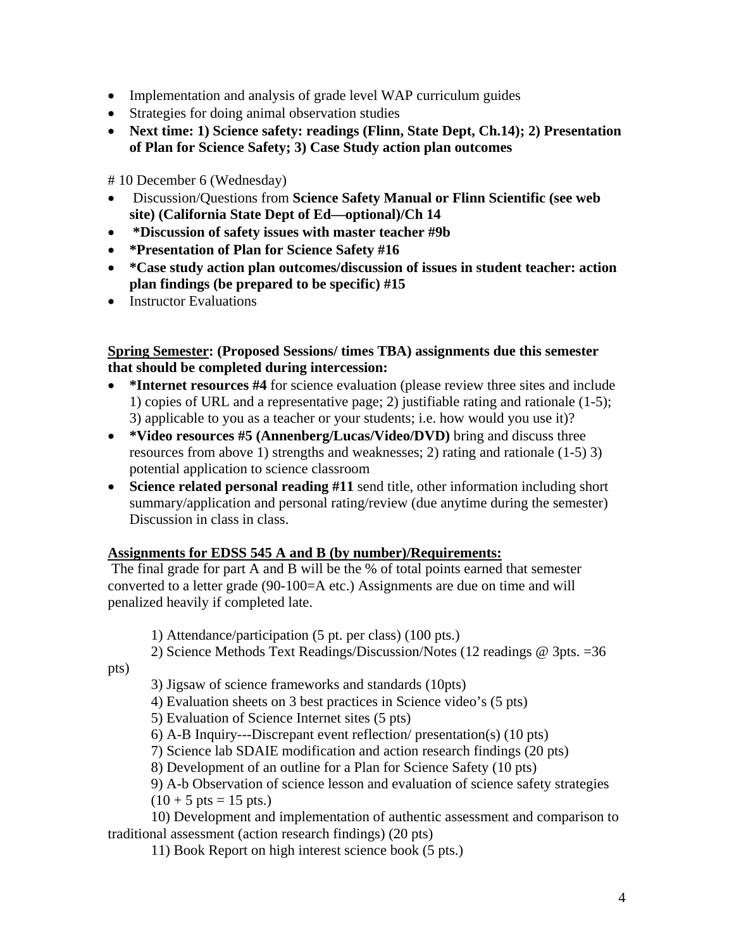- Implementation and analysis of grade level WAP curriculum guides
- Strategies for doing animal observation studies
- **Next time: 1) Science safety: readings (Flinn, State Dept, Ch.14); 2) Presentation of Plan for Science Safety; 3) Case Study action plan outcomes**

# 10 December 6 (Wednesday)

- Discussion/Questions from **Science Safety Manual or Flinn Scientific (see web site) (California State Dept of Ed—optional)/Ch 14**
- • **\*Discussion of safety issues with master teacher #9b**
- **\*Presentation of Plan for Science Safety #16**
- **\*Case study action plan outcomes/discussion of issues in student teacher: action plan findings (be prepared to be specific) #15**
- Instructor Evaluations

## **Spring Semester: (Proposed Sessions/ times TBA) assignments due this semester that should be completed during intercession:**

- \*Internet resources #4 for science evaluation (please review three sites and include 1) copies of URL and a representative page; 2) justifiable rating and rationale (1-5); 3) applicable to you as a teacher or your students; i.e. how would you use it)?
- **\*Video resources #5 (Annenberg/Lucas/Video/DVD)** bring and discuss three resources from above 1) strengths and weaknesses; 2) rating and rationale (1-5) 3) potential application to science classroom
- **Science related personal reading #11** send title, other information including short summary/application and personal rating/review (due anytime during the semester) Discussion in class in class.

# **Assignments for EDSS 545 A and B (by number)/Requirements:**

 The final grade for part A and B will be the % of total points earned that semester converted to a letter grade (90-100=A etc.) Assignments are due on time and will penalized heavily if completed late.

1) Attendance/participation (5 pt. per class) (100 pts.)

2) Science Methods Text Readings/Discussion/Notes (12 readings @ 3pts. =36

pts)

3) Jigsaw of science frameworks and standards (10pts)

4) Evaluation sheets on 3 best practices in Science video's (5 pts)

5) Evaluation of Science Internet sites (5 pts)

6) A-B Inquiry---Discrepant event reflection/ presentation(s) (10 pts)

7) Science lab SDAIE modification and action research findings (20 pts)

8) Development of an outline for a Plan for Science Safety (10 pts)

9) A-b Observation of science lesson and evaluation of science safety strategies  $(10 + 5 \text{ pts} = 15 \text{ pts.})$ 

 10) Development and implementation of authentic assessment and comparison to traditional assessment (action research findings) (20 pts)

11) Book Report on high interest science book (5 pts.)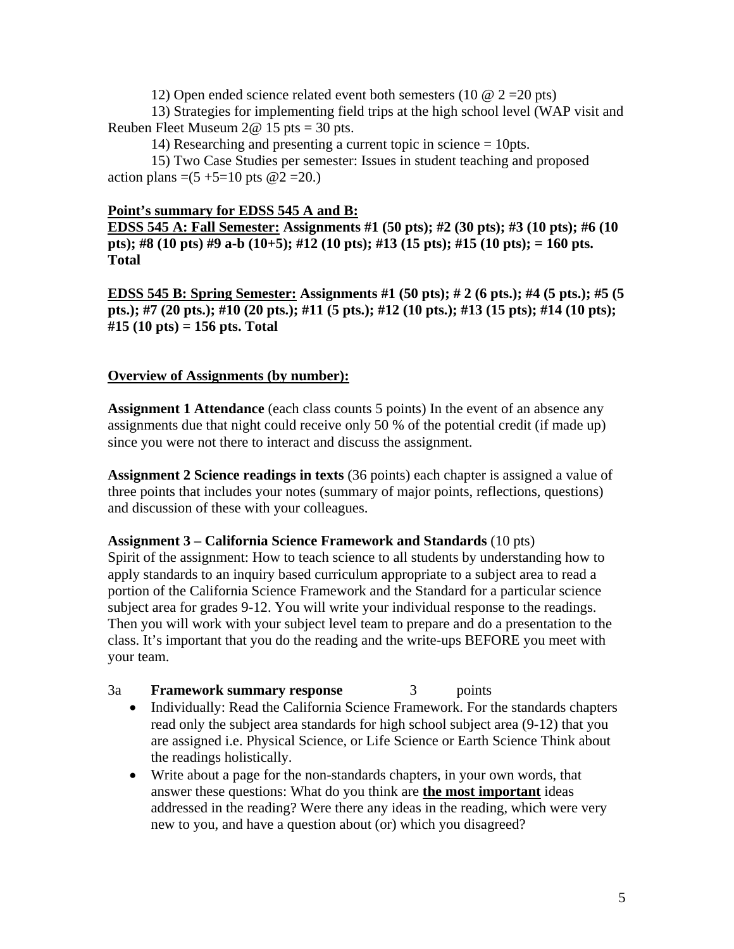12) Open ended science related event both semesters (10  $\omega$  2 = 20 pts)

 13) Strategies for implementing field trips at the high school level (WAP visit and Reuben Fleet Museum  $2@ 15$  pts = 30 pts.

14) Researching and presenting a current topic in science = 10pts.

 15) Two Case Studies per semester: Issues in student teaching and proposed action plans =(5 +5=10 pts  $@2 = 20$ .)

## **Point's summary for EDSS 545 A and B:**

**EDSS 545 A: Fall Semester: Assignments #1 (50 pts); #2 (30 pts); #3 (10 pts); #6 (10 pts); #8 (10 pts) #9 a-b (10+5); #12 (10 pts); #13 (15 pts); #15 (10 pts); = 160 pts. Total** 

**EDSS 545 B: Spring Semester: Assignments #1 (50 pts); # 2 (6 pts.); #4 (5 pts.); #5 (5 pts.); #7 (20 pts.); #10 (20 pts.); #11 (5 pts.); #12 (10 pts.); #13 (15 pts); #14 (10 pts); #15 (10 pts) = 156 pts. Total** 

## **Overview of Assignments (by number):**

**Assignment 1 Attendance** (each class counts 5 points) In the event of an absence any assignments due that night could receive only 50 % of the potential credit (if made up) since you were not there to interact and discuss the assignment.

**Assignment 2 Science readings in texts** (36 points) each chapter is assigned a value of three points that includes your notes (summary of major points, reflections, questions) and discussion of these with your colleagues.

## **Assignment 3 – California Science Framework and Standards** (10 pts)

Spirit of the assignment: How to teach science to all students by understanding how to apply standards to an inquiry based curriculum appropriate to a subject area to read a portion of the California Science Framework and the Standard for a particular science subject area for grades 9-12. You will write your individual response to the readings. Then you will work with your subject level team to prepare and do a presentation to the class. It's important that you do the reading and the write-ups BEFORE you meet with your team.

## 3a **Framework summary response** 3 points

- Individually: Read the California Science Framework. For the standards chapters read only the subject area standards for high school subject area (9-12) that you are assigned i.e. Physical Science, or Life Science or Earth Science Think about the readings holistically.
- Write about a page for the non-standards chapters, in your own words, that answer these questions: What do you think are **the most important** ideas addressed in the reading? Were there any ideas in the reading, which were very new to you, and have a question about (or) which you disagreed?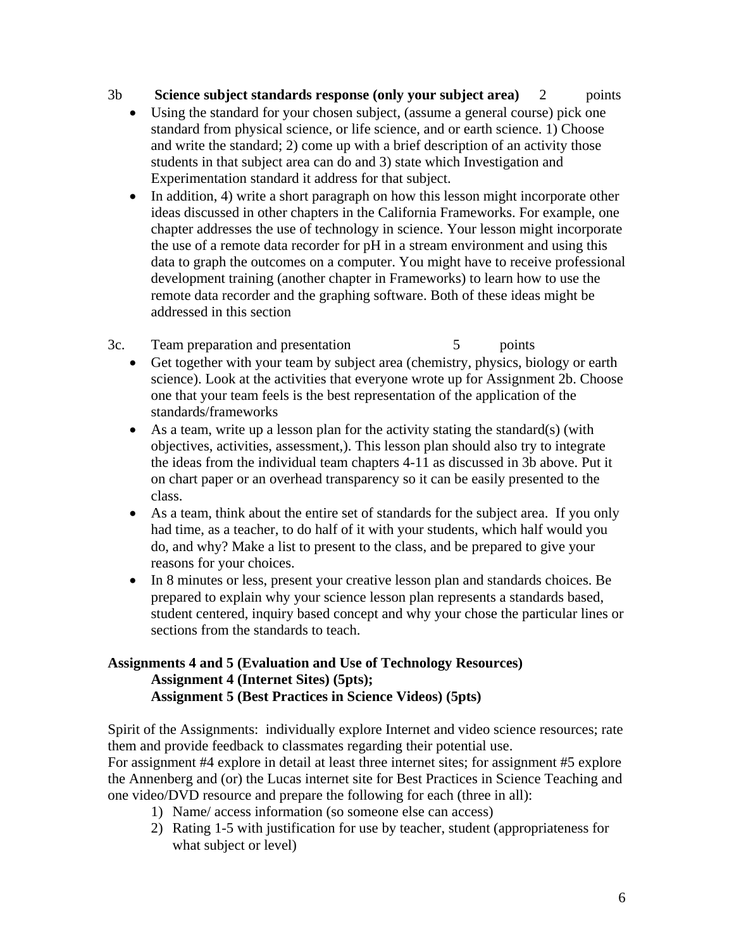3b **Science subject standards response (only your subject area)** 2 points

- Using the standard for your chosen subject, (assume a general course) pick one standard from physical science, or life science, and or earth science. 1) Choose and write the standard; 2) come up with a brief description of an activity those students in that subject area can do and 3) state which Investigation and Experimentation standard it address for that subject.
- In addition, 4) write a short paragraph on how this lesson might incorporate other ideas discussed in other chapters in the California Frameworks. For example, one chapter addresses the use of technology in science. Your lesson might incorporate the use of a remote data recorder for pH in a stream environment and using this data to graph the outcomes on a computer. You might have to receive professional development training (another chapter in Frameworks) to learn how to use the remote data recorder and the graphing software. Both of these ideas might be addressed in this section
- 3c. Team preparation and presentation 5 points
	- Get together with your team by subject area (chemistry, physics, biology or earth science). Look at the activities that everyone wrote up for Assignment 2b. Choose one that your team feels is the best representation of the application of the standards/frameworks
	- As a team, write up a lesson plan for the activity stating the standard(s) (with objectives, activities, assessment,). This lesson plan should also try to integrate the ideas from the individual team chapters 4-11 as discussed in 3b above. Put it on chart paper or an overhead transparency so it can be easily presented to the class.
	- As a team, think about the entire set of standards for the subject area. If you only had time, as a teacher, to do half of it with your students, which half would you do, and why? Make a list to present to the class, and be prepared to give your reasons for your choices.
	- In 8 minutes or less, present your creative lesson plan and standards choices. Be prepared to explain why your science lesson plan represents a standards based, student centered, inquiry based concept and why your chose the particular lines or sections from the standards to teach.

## **Assignments 4 and 5 (Evaluation and Use of Technology Resources) Assignment 4 (Internet Sites) (5pts); Assignment 5 (Best Practices in Science Videos) (5pts)**

Spirit of the Assignments: individually explore Internet and video science resources; rate them and provide feedback to classmates regarding their potential use.

For assignment #4 explore in detail at least three internet sites; for assignment #5 explore the Annenberg and (or) the Lucas internet site for Best Practices in Science Teaching and one video/DVD resource and prepare the following for each (three in all):

- 1) Name/ access information (so someone else can access)
- 2) Rating 1-5 with justification for use by teacher, student (appropriateness for what subject or level)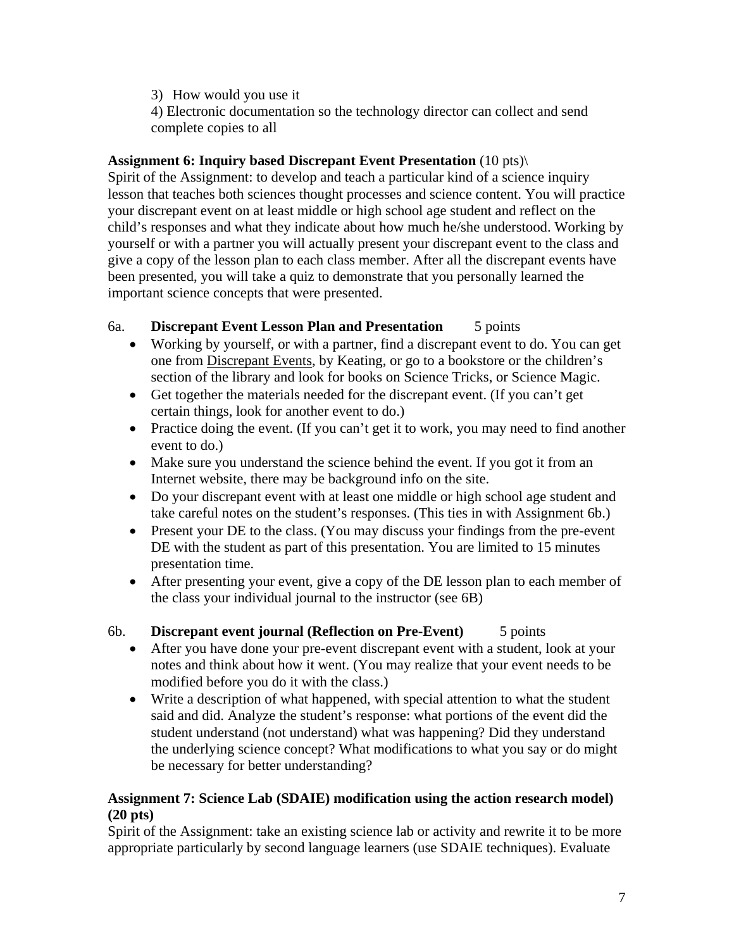3) How would you use it

4) Electronic documentation so the technology director can collect and send complete copies to all

## **Assignment 6: Inquiry based Discrepant Event Presentation** (10 pts)\

Spirit of the Assignment: to develop and teach a particular kind of a science inquiry lesson that teaches both sciences thought processes and science content. You will practice your discrepant event on at least middle or high school age student and reflect on the child's responses and what they indicate about how much he/she understood. Working by yourself or with a partner you will actually present your discrepant event to the class and give a copy of the lesson plan to each class member. After all the discrepant events have been presented, you will take a quiz to demonstrate that you personally learned the important science concepts that were presented.

# 6a. **Discrepant Event Lesson Plan and Presentation** 5 points

- Working by yourself, or with a partner, find a discrepant event to do. You can get one from Discrepant Events, by Keating, or go to a bookstore or the children's section of the library and look for books on Science Tricks, or Science Magic.
- Get together the materials needed for the discrepant event. (If you can't get certain things, look for another event to do.)
- Practice doing the event. (If you can't get it to work, you may need to find another event to do.)
- Make sure you understand the science behind the event. If you got it from an Internet website, there may be background info on the site.
- Do your discrepant event with at least one middle or high school age student and take careful notes on the student's responses. (This ties in with Assignment 6b.)
- Present your DE to the class. (You may discuss your findings from the pre-event DE with the student as part of this presentation. You are limited to 15 minutes presentation time.
- After presenting your event, give a copy of the DE lesson plan to each member of the class your individual journal to the instructor (see 6B)

# 6b. **Discrepant event journal (Reflection on Pre-Event)** 5 points

- After you have done your pre-event discrepant event with a student, look at your notes and think about how it went. (You may realize that your event needs to be modified before you do it with the class.)
- Write a description of what happened, with special attention to what the student said and did. Analyze the student's response: what portions of the event did the student understand (not understand) what was happening? Did they understand the underlying science concept? What modifications to what you say or do might be necessary for better understanding?

## **Assignment 7: Science Lab (SDAIE) modification using the action research model) (20 pts)**

Spirit of the Assignment: take an existing science lab or activity and rewrite it to be more appropriate particularly by second language learners (use SDAIE techniques). Evaluate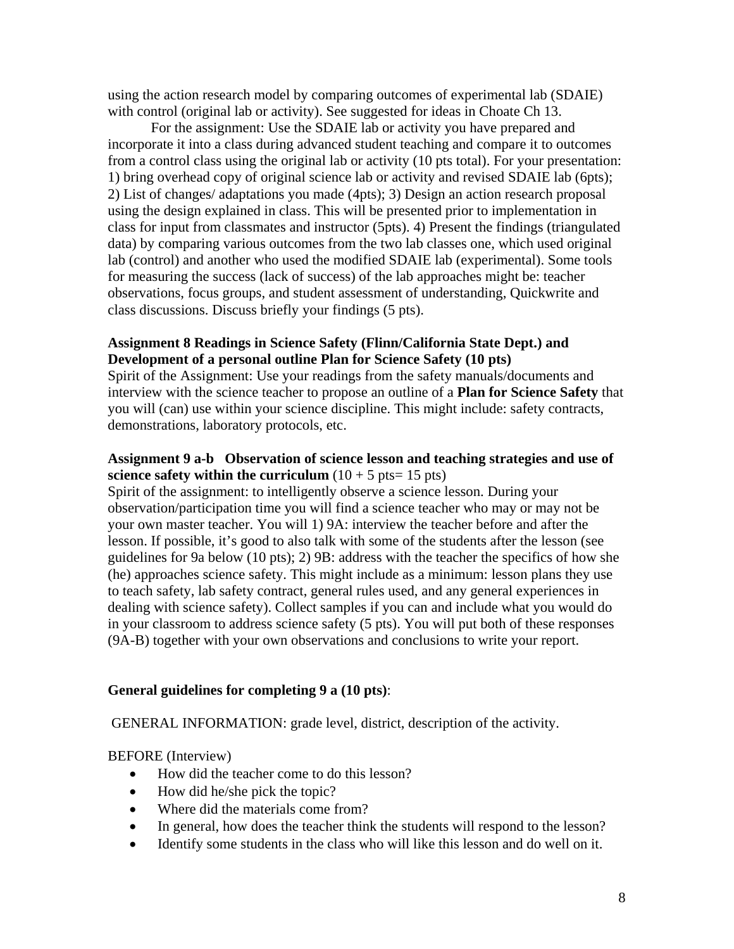using the action research model by comparing outcomes of experimental lab (SDAIE) with control (original lab or activity). See suggested for ideas in Choate Ch 13.

For the assignment: Use the SDAIE lab or activity you have prepared and incorporate it into a class during advanced student teaching and compare it to outcomes from a control class using the original lab or activity (10 pts total). For your presentation: 1) bring overhead copy of original science lab or activity and revised SDAIE lab (6pts); 2) List of changes/ adaptations you made (4pts); 3) Design an action research proposal using the design explained in class. This will be presented prior to implementation in class for input from classmates and instructor (5pts). 4) Present the findings (triangulated data) by comparing various outcomes from the two lab classes one, which used original lab (control) and another who used the modified SDAIE lab (experimental). Some tools for measuring the success (lack of success) of the lab approaches might be: teacher observations, focus groups, and student assessment of understanding, Quickwrite and class discussions. Discuss briefly your findings (5 pts).

### **Assignment 8 Readings in Science Safety (Flinn/California State Dept.) and Development of a personal outline Plan for Science Safety (10 pts)**

Spirit of the Assignment: Use your readings from the safety manuals/documents and interview with the science teacher to propose an outline of a **Plan for Science Safety** that you will (can) use within your science discipline. This might include: safety contracts, demonstrations, laboratory protocols, etc.

## **Assignment 9 a-b Observation of science lesson and teaching strategies and use of science safety within the curriculum**  $(10 + 5 \text{ pts} = 15 \text{ pts})$

Spirit of the assignment: to intelligently observe a science lesson. During your observation/participation time you will find a science teacher who may or may not be your own master teacher. You will 1) 9A: interview the teacher before and after the lesson. If possible, it's good to also talk with some of the students after the lesson (see guidelines for 9a below (10 pts); 2) 9B: address with the teacher the specifics of how she (he) approaches science safety. This might include as a minimum: lesson plans they use to teach safety, lab safety contract, general rules used, and any general experiences in dealing with science safety). Collect samples if you can and include what you would do in your classroom to address science safety (5 pts). You will put both of these responses (9A-B) together with your own observations and conclusions to write your report.

## **General guidelines for completing 9 a (10 pts)**:

GENERAL INFORMATION: grade level, district, description of the activity.

BEFORE (Interview)

- How did the teacher come to do this lesson?
- How did he/she pick the topic?
- Where did the materials come from?
- In general, how does the teacher think the students will respond to the lesson?
- Identify some students in the class who will like this lesson and do well on it.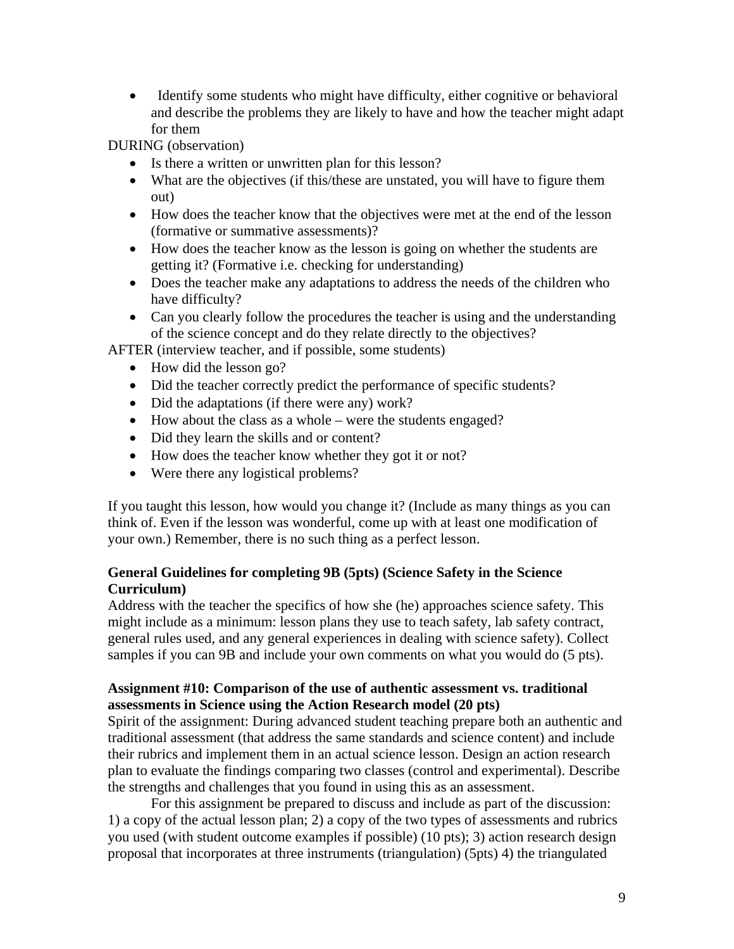• Identify some students who might have difficulty, either cognitive or behavioral and describe the problems they are likely to have and how the teacher might adapt for them

DURING (observation)

- Is there a written or unwritten plan for this lesson?
- What are the objectives (if this/these are unstated, you will have to figure them out)
- How does the teacher know that the objectives were met at the end of the lesson (formative or summative assessments)?
- How does the teacher know as the lesson is going on whether the students are getting it? (Formative i.e. checking for understanding)
- Does the teacher make any adaptations to address the needs of the children who have difficulty?
- Can you clearly follow the procedures the teacher is using and the understanding of the science concept and do they relate directly to the objectives?

AFTER (interview teacher, and if possible, some students)

- How did the lesson go?
- Did the teacher correctly predict the performance of specific students?
- Did the adaptations (if there were any) work?
- How about the class as a whole were the students engaged?
- Did they learn the skills and or content?
- How does the teacher know whether they got it or not?
- Were there any logistical problems?

If you taught this lesson, how would you change it? (Include as many things as you can think of. Even if the lesson was wonderful, come up with at least one modification of your own.) Remember, there is no such thing as a perfect lesson.

## **General Guidelines for completing 9B (5pts) (Science Safety in the Science Curriculum)**

Address with the teacher the specifics of how she (he) approaches science safety. This might include as a minimum: lesson plans they use to teach safety, lab safety contract, general rules used, and any general experiences in dealing with science safety). Collect samples if you can 9B and include your own comments on what you would do (5 pts).

## **Assignment #10: Comparison of the use of authentic assessment vs. traditional assessments in Science using the Action Research model (20 pts)**

Spirit of the assignment: During advanced student teaching prepare both an authentic and traditional assessment (that address the same standards and science content) and include their rubrics and implement them in an actual science lesson. Design an action research plan to evaluate the findings comparing two classes (control and experimental). Describe the strengths and challenges that you found in using this as an assessment.

For this assignment be prepared to discuss and include as part of the discussion: 1) a copy of the actual lesson plan; 2) a copy of the two types of assessments and rubrics you used (with student outcome examples if possible) (10 pts); 3) action research design proposal that incorporates at three instruments (triangulation) (5pts) 4) the triangulated